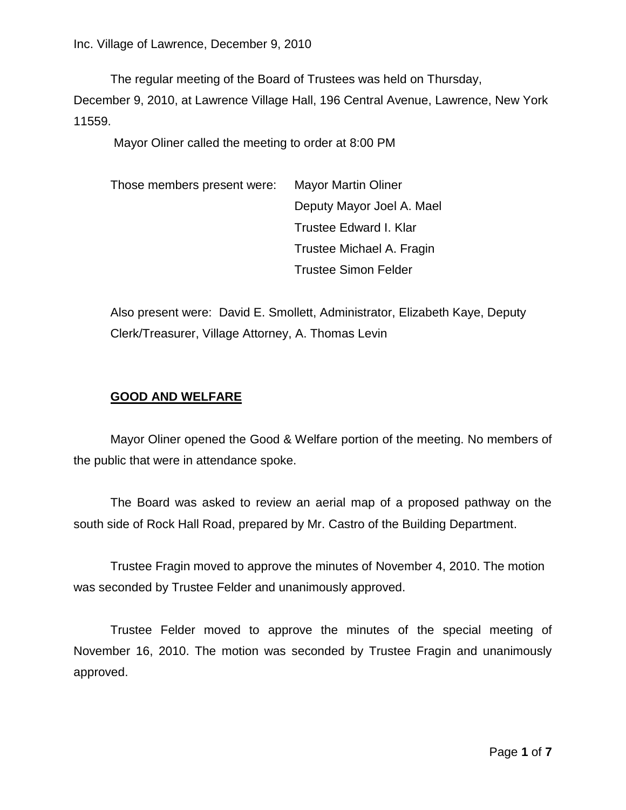The regular meeting of the Board of Trustees was held on Thursday,

December 9, 2010, at Lawrence Village Hall, 196 Central Avenue, Lawrence, New York 11559.

Mayor Oliner called the meeting to order at 8:00 PM

Those members present were: Mayor Martin Oliner Deputy Mayor Joel A. Mael Trustee Edward I. Klar Trustee Michael A. Fragin Trustee Simon Felder

Also present were: David E. Smollett, Administrator, Elizabeth Kaye, Deputy Clerk/Treasurer, Village Attorney, A. Thomas Levin

# **GOOD AND WELFARE**

Mayor Oliner opened the Good & Welfare portion of the meeting. No members of the public that were in attendance spoke.

The Board was asked to review an aerial map of a proposed pathway on the south side of Rock Hall Road, prepared by Mr. Castro of the Building Department.

Trustee Fragin moved to approve the minutes of November 4, 2010. The motion was seconded by Trustee Felder and unanimously approved.

Trustee Felder moved to approve the minutes of the special meeting of November 16, 2010. The motion was seconded by Trustee Fragin and unanimously approved.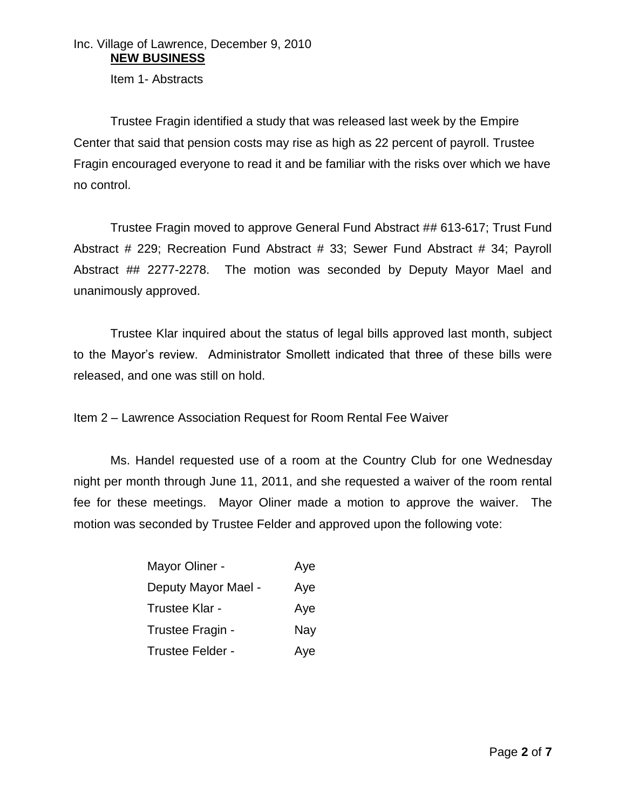# Inc. Village of Lawrence, December 9, 2010 **NEW BUSINESS**

Item 1- Abstracts

Trustee Fragin identified a study that was released last week by the Empire Center that said that pension costs may rise as high as 22 percent of payroll. Trustee Fragin encouraged everyone to read it and be familiar with the risks over which we have no control.

Trustee Fragin moved to approve General Fund Abstract ## 613-617; Trust Fund Abstract # 229; Recreation Fund Abstract # 33; Sewer Fund Abstract # 34; Payroll Abstract ## 2277-2278. The motion was seconded by Deputy Mayor Mael and unanimously approved.

Trustee Klar inquired about the status of legal bills approved last month, subject to the Mayor's review. Administrator Smollett indicated that three of these bills were released, and one was still on hold.

Item 2 – Lawrence Association Request for Room Rental Fee Waiver

Ms. Handel requested use of a room at the Country Club for one Wednesday night per month through June 11, 2011, and she requested a waiver of the room rental fee for these meetings. Mayor Oliner made a motion to approve the waiver. The motion was seconded by Trustee Felder and approved upon the following vote:

| Mayor Oliner -      | Aye |
|---------------------|-----|
| Deputy Mayor Mael - | Aye |
| Trustee Klar -      | Aye |
| Trustee Fragin -    | Nay |
| Trustee Felder -    | Aye |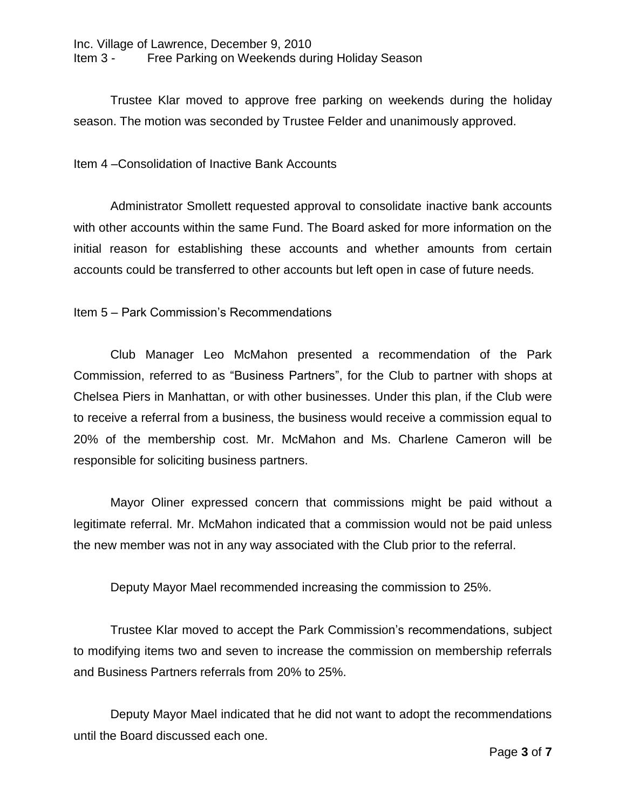Trustee Klar moved to approve free parking on weekends during the holiday season. The motion was seconded by Trustee Felder and unanimously approved.

## Item 4 –Consolidation of Inactive Bank Accounts

Administrator Smollett requested approval to consolidate inactive bank accounts with other accounts within the same Fund. The Board asked for more information on the initial reason for establishing these accounts and whether amounts from certain accounts could be transferred to other accounts but left open in case of future needs.

## Item 5 – Park Commission's Recommendations

Club Manager Leo McMahon presented a recommendation of the Park Commission, referred to as "Business Partners", for the Club to partner with shops at Chelsea Piers in Manhattan, or with other businesses. Under this plan, if the Club were to receive a referral from a business, the business would receive a commission equal to 20% of the membership cost. Mr. McMahon and Ms. Charlene Cameron will be responsible for soliciting business partners.

Mayor Oliner expressed concern that commissions might be paid without a legitimate referral. Mr. McMahon indicated that a commission would not be paid unless the new member was not in any way associated with the Club prior to the referral.

Deputy Mayor Mael recommended increasing the commission to 25%.

Trustee Klar moved to accept the Park Commission's recommendations, subject to modifying items two and seven to increase the commission on membership referrals and Business Partners referrals from 20% to 25%.

Deputy Mayor Mael indicated that he did not want to adopt the recommendations until the Board discussed each one.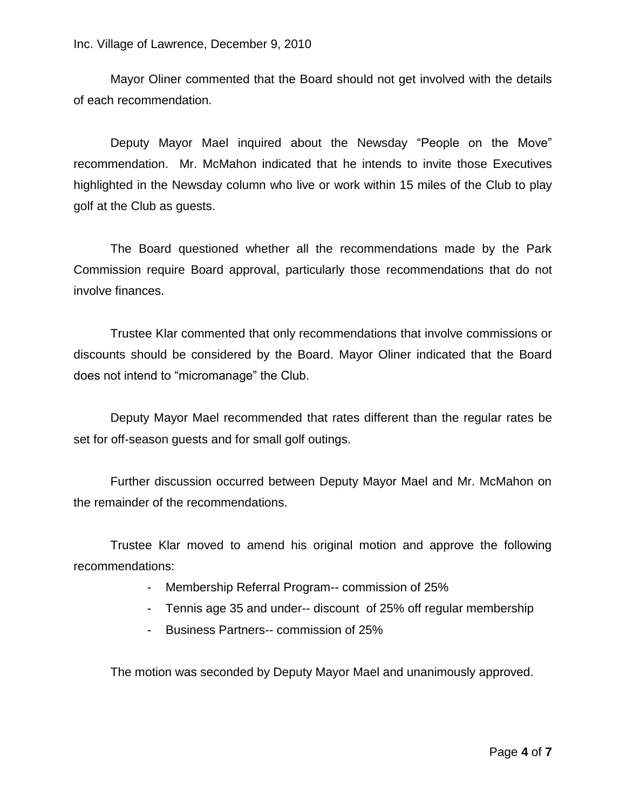Mayor Oliner commented that the Board should not get involved with the details of each recommendation.

Deputy Mayor Mael inquired about the Newsday "People on the Move" recommendation. Mr. McMahon indicated that he intends to invite those Executives highlighted in the Newsday column who live or work within 15 miles of the Club to play golf at the Club as guests.

The Board questioned whether all the recommendations made by the Park Commission require Board approval, particularly those recommendations that do not involve finances.

Trustee Klar commented that only recommendations that involve commissions or discounts should be considered by the Board. Mayor Oliner indicated that the Board does not intend to "micromanage" the Club.

Deputy Mayor Mael recommended that rates different than the regular rates be set for off-season guests and for small golf outings.

Further discussion occurred between Deputy Mayor Mael and Mr. McMahon on the remainder of the recommendations.

Trustee Klar moved to amend his original motion and approve the following recommendations:

- Membership Referral Program-- commission of 25%
- Tennis age 35 and under-- discount of 25% off regular membership
- Business Partners-- commission of 25%

The motion was seconded by Deputy Mayor Mael and unanimously approved.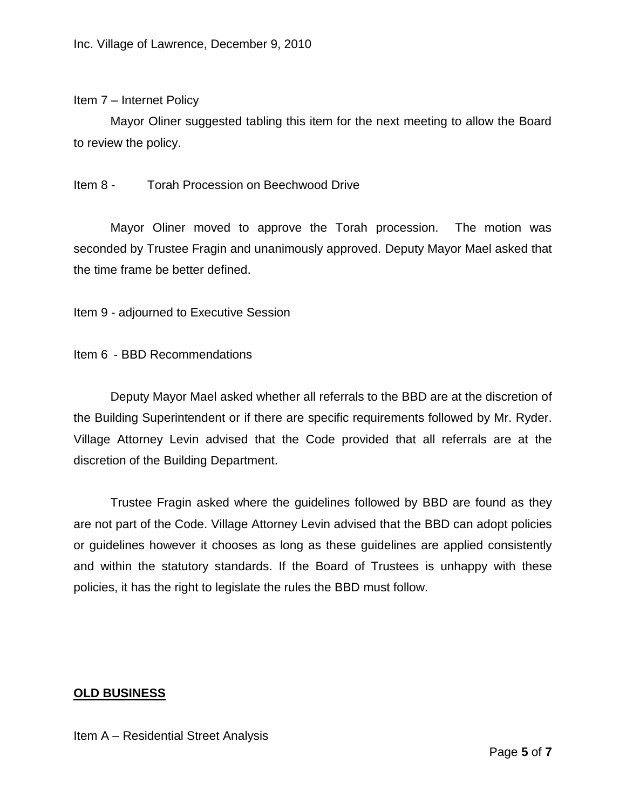#### Item 7 – Internet Policy

Mayor Oliner suggested tabling this item for the next meeting to allow the Board to review the policy.

## Item 8 - Torah Procession on Beechwood Drive

Mayor Oliner moved to approve the Torah procession. The motion was seconded by Trustee Fragin and unanimously approved. Deputy Mayor Mael asked that the time frame be better defined.

Item 9 - adjourned to Executive Session

Item 6 - BBD Recommendations

Deputy Mayor Mael asked whether all referrals to the BBD are at the discretion of the Building Superintendent or if there are specific requirements followed by Mr. Ryder. Village Attorney Levin advised that the Code provided that all referrals are at the discretion of the Building Department.

Trustee Fragin asked where the guidelines followed by BBD are found as they are not part of the Code. Village Attorney Levin advised that the BBD can adopt policies or guidelines however it chooses as long as these guidelines are applied consistently and within the statutory standards. If the Board of Trustees is unhappy with these policies, it has the right to legislate the rules the BBD must follow.

## **OLD BUSINESS**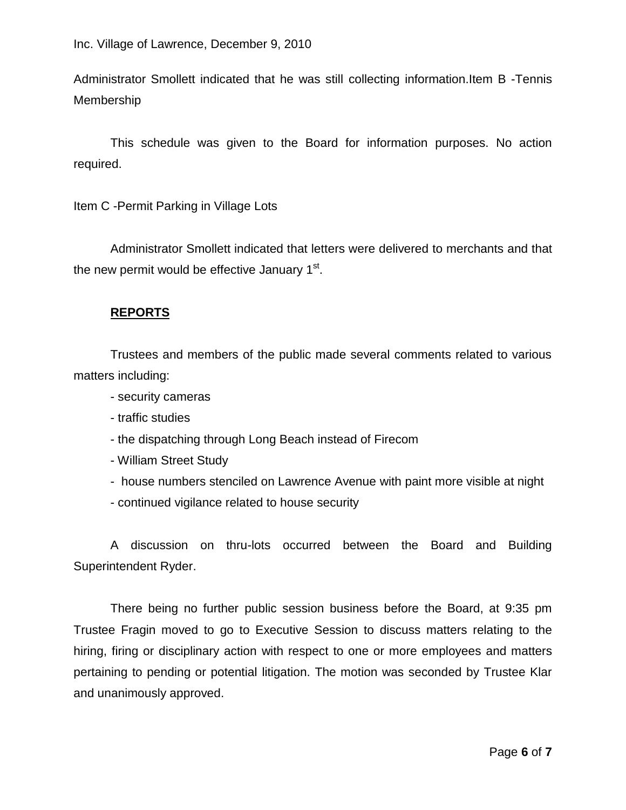Administrator Smollett indicated that he was still collecting information.Item B -Tennis Membership

This schedule was given to the Board for information purposes. No action required.

Item C -Permit Parking in Village Lots

Administrator Smollett indicated that letters were delivered to merchants and that the new permit would be effective January 1<sup>st</sup>.

## **REPORTS**

Trustees and members of the public made several comments related to various matters including:

- security cameras
- traffic studies
- the dispatching through Long Beach instead of Firecom
- William Street Study
- house numbers stenciled on Lawrence Avenue with paint more visible at night
- continued vigilance related to house security

A discussion on thru-lots occurred between the Board and Building Superintendent Ryder.

There being no further public session business before the Board, at 9:35 pm Trustee Fragin moved to go to Executive Session to discuss matters relating to the hiring, firing or disciplinary action with respect to one or more employees and matters pertaining to pending or potential litigation. The motion was seconded by Trustee Klar and unanimously approved.